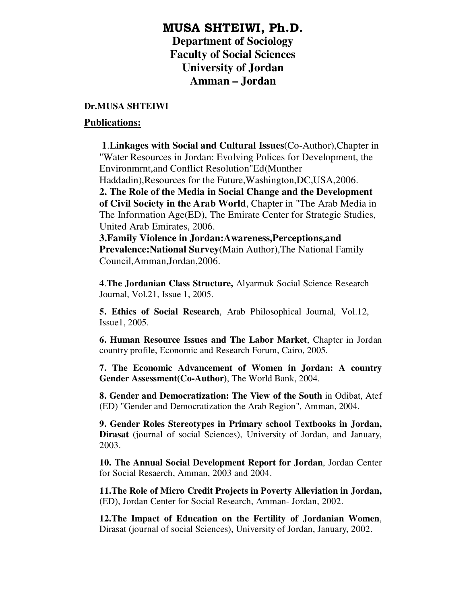## MUSA SHTEIWI, Ph.D.

**Department of Sociology Faculty of Social Sciences University of Jordan Amman – Jordan** 

## **Dr.MUSA SHTEIWI**

## **Publications:**

 **1**.**Linkages with Social and Cultural Issues**(Co-Author),Chapter in "Water Resources in Jordan: Evolving Polices for Development, the Environmrnt,and Conflict Resolution"Ed(Munther Haddadin),Resources for the Future,Washington,DC,USA,2006. **2. The Role of the Media in Social Change and the Development** 

**of Civil Society in the Arab World**, Chapter in "The Arab Media in The Information Age(ED), The Emirate Center for Strategic Studies, United Arab Emirates, 2006.

**3.Family Violence in Jordan:Awareness,Perceptions,and Prevalence:National Survey**(Main Author),The National Family Council,Amman,Jordan,2006.

**4**.**The Jordanian Class Structure,** Alyarmuk Social Science Research Journal, Vol.21, Issue 1, 2005.

**5. Ethics of Social Research**, Arab Philosophical Journal, Vol.12, Issue1, 2005.

**6. Human Resource Issues and The Labor Market**, Chapter in Jordan country profile, Economic and Research Forum, Cairo, 2005.

**7. The Economic Advancement of Women in Jordan: A country Gender Assessment(Co-Author)**, The World Bank, 2004.

**8. Gender and Democratization: The View of the South** in Odibat, Atef (ED) "Gender and Democratization the Arab Region", Amman, 2004.

**9. Gender Roles Stereotypes in Primary school Textbooks in Jordan, Dirasat** (journal of social Sciences), University of Jordan, and January, 2003.

**10. The Annual Social Development Report for Jordan**, Jordan Center for Social Resaerch, Amman, 2003 and 2004.

**11.The Role of Micro Credit Projects in Poverty Alleviation in Jordan,** (ED), Jordan Center for Social Research, Amman- Jordan, 2002.

**12.The Impact of Education on the Fertility of Jordanian Women**, Dirasat (journal of social Sciences), University of Jordan, January, 2002.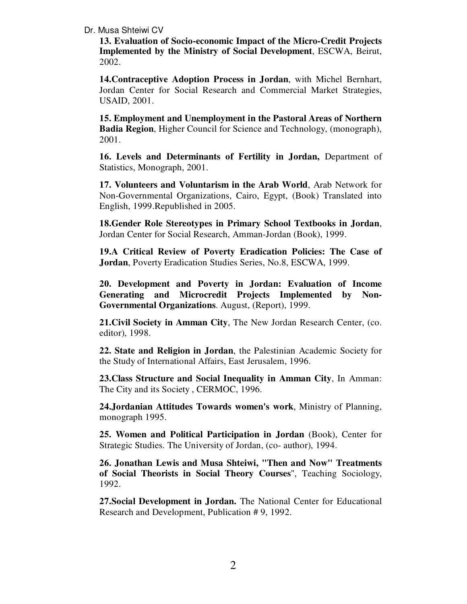## Dr. Musa Shteiwi CV

**13. Evaluation of Socio-economic Impact of the Micro-Credit Projects Implemented by the Ministry of Social Development**, ESCWA, Beirut, 2002.

**14.Contraceptive Adoption Process in Jordan**, with Michel Bernhart, Jordan Center for Social Research and Commercial Market Strategies, USAID, 2001.

**15. Employment and Unemployment in the Pastoral Areas of Northern Badia Region**, Higher Council for Science and Technology, (monograph), 2001.

**16. Levels and Determinants of Fertility in Jordan,** Department of Statistics, Monograph, 2001.

**17. Volunteers and Voluntarism in the Arab World**, Arab Network for Non-Governmental Organizations, Cairo, Egypt, (Book) Translated into English, 1999.Republished in 2005.

**18.Gender Role Stereotypes in Primary School Textbooks in Jordan**, Jordan Center for Social Research, Amman-Jordan (Book), 1999.

**19.A Critical Review of Poverty Eradication Policies: The Case of Jordan**, Poverty Eradication Studies Series, No.8, ESCWA, 1999.

**20. Development and Poverty in Jordan: Evaluation of Income Generating and Microcredit Projects Implemented by Non-Governmental Organizations**. August, (Report), 1999.

**21.Civil Society in Amman City**, The New Jordan Research Center, (co. editor), 1998.

**22. State and Religion in Jordan**, the Palestinian Academic Society for the Study of International Affairs, East Jerusalem, 1996.

**23.Class Structure and Social Inequality in Amman City**, In Amman: The City and its Society , CERMOC, 1996.

**24.Jordanian Attitudes Towards women's work**, Ministry of Planning, monograph 1995.

**25. Women and Political Participation in Jordan** (Book), Center for Strategic Studies. The University of Jordan, (co- author), 1994.

**26. Jonathan Lewis and Musa Shteiwi, "Then and Now" Treatments of Social Theorists in Social Theory Courses**", Teaching Sociology, 1992.

**27.Social Development in Jordan.** The National Center for Educational Research and Development, Publication # 9, 1992.